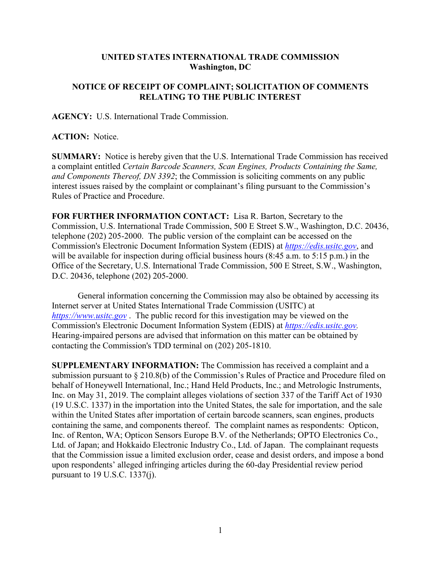## **UNITED STATES INTERNATIONAL TRADE COMMISSION Washington, DC**

## **NOTICE OF RECEIPT OF COMPLAINT; SOLICITATION OF COMMENTS RELATING TO THE PUBLIC INTEREST**

**AGENCY:** U.S. International Trade Commission.

**ACTION:** Notice.

**SUMMARY:** Notice is hereby given that the U.S. International Trade Commission has received a complaint entitled *Certain Barcode Scanners, Scan Engines, Products Containing the Same, and Components Thereof, DN 3392*; the Commission is soliciting comments on any public interest issues raised by the complaint or complainant's filing pursuant to the Commission's Rules of Practice and Procedure.

**FOR FURTHER INFORMATION CONTACT:** Lisa R. Barton, Secretary to the Commission, U.S. International Trade Commission, 500 E Street S.W., Washington, D.C. 20436, telephone (202) 205-2000. The public version of the complaint can be accessed on the Commission's Electronic Document Information System (EDIS) at *[https://edis.usitc.gov](https://edis.usitc.gov/)*, and will be available for inspection during official business hours (8:45 a.m. to 5:15 p.m.) in the Office of the Secretary, U.S. International Trade Commission, 500 E Street, S.W., Washington, D.C. 20436, telephone (202) 205-2000.

General information concerning the Commission may also be obtained by accessing its Internet server at United States International Trade Commission (USITC) at *[https://www.usitc.gov](https://www.usitc.gov/)* . The public record for this investigation may be viewed on the Commission's Electronic Document Information System (EDIS) at *[https://edis.usitc.gov.](https://edis.usitc.gov/)* Hearing-impaired persons are advised that information on this matter can be obtained by contacting the Commission's TDD terminal on (202) 205-1810.

**SUPPLEMENTARY INFORMATION:** The Commission has received a complaint and a submission pursuant to § 210.8(b) of the Commission's Rules of Practice and Procedure filed on behalf of Honeywell International, Inc.; Hand Held Products, Inc.; and Metrologic Instruments, Inc. on May 31, 2019. The complaint alleges violations of section 337 of the Tariff Act of 1930 (19 U.S.C. 1337) in the importation into the United States, the sale for importation, and the sale within the United States after importation of certain barcode scanners, scan engines, products containing the same, and components thereof. The complaint names as respondents: Opticon, Inc. of Renton, WA; Opticon Sensors Europe B.V. of the Netherlands; OPTO Electronics Co., Ltd. of Japan; and Hokkaido Electronic Industry Co., Ltd. of Japan. The complainant requests that the Commission issue a limited exclusion order, cease and desist orders, and impose a bond upon respondents' alleged infringing articles during the 60-day Presidential review period pursuant to 19 U.S.C. 1337(j).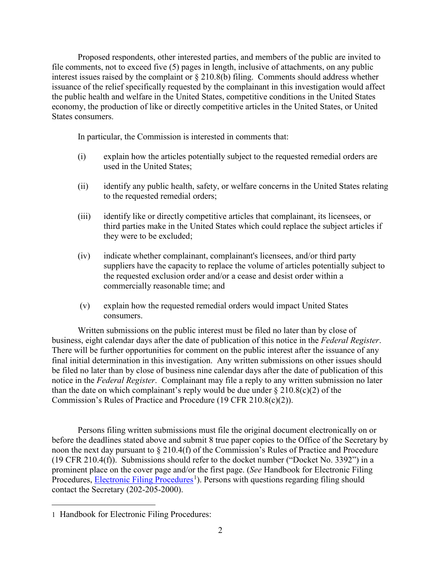Proposed respondents, other interested parties, and members of the public are invited to file comments, not to exceed five (5) pages in length, inclusive of attachments, on any public interest issues raised by the complaint or § 210.8(b) filing. Comments should address whether issuance of the relief specifically requested by the complainant in this investigation would affect the public health and welfare in the United States, competitive conditions in the United States economy, the production of like or directly competitive articles in the United States, or United States consumers.

In particular, the Commission is interested in comments that:

- (i) explain how the articles potentially subject to the requested remedial orders are used in the United States;
- (ii) identify any public health, safety, or welfare concerns in the United States relating to the requested remedial orders;
- (iii) identify like or directly competitive articles that complainant, its licensees, or third parties make in the United States which could replace the subject articles if they were to be excluded;
- (iv) indicate whether complainant, complainant's licensees, and/or third party suppliers have the capacity to replace the volume of articles potentially subject to the requested exclusion order and/or a cease and desist order within a commercially reasonable time; and
- (v) explain how the requested remedial orders would impact United States consumers.

Written submissions on the public interest must be filed no later than by close of business, eight calendar days after the date of publication of this notice in the *Federal Register*. There will be further opportunities for comment on the public interest after the issuance of any final initial determination in this investigation. Any written submissions on other issues should be filed no later than by close of business nine calendar days after the date of publication of this notice in the *Federal Register*. Complainant may file a reply to any written submission no later than the date on which complainant's reply would be due under  $\S 210.8(c)(2)$  of the Commission's Rules of Practice and Procedure (19 CFR 210.8(c)(2)).

Persons filing written submissions must file the original document electronically on or before the deadlines stated above and submit 8 true paper copies to the Office of the Secretary by noon the next day pursuant to § 210.4(f) of the Commission's Rules of Practice and Procedure (19 CFR 210.4(f)). Submissions should refer to the docket number ("Docket No. 3392") in a prominent place on the cover page and/or the first page. (*See* Handbook for Electronic Filing Procedures, **Electronic Filing Procedures**<sup>[1](#page-1-0)</sup>). Persons with questions regarding filing should contact the Secretary (202-205-2000).

<span id="page-1-0"></span> $\overline{a}$ 1 Handbook for Electronic Filing Procedures: